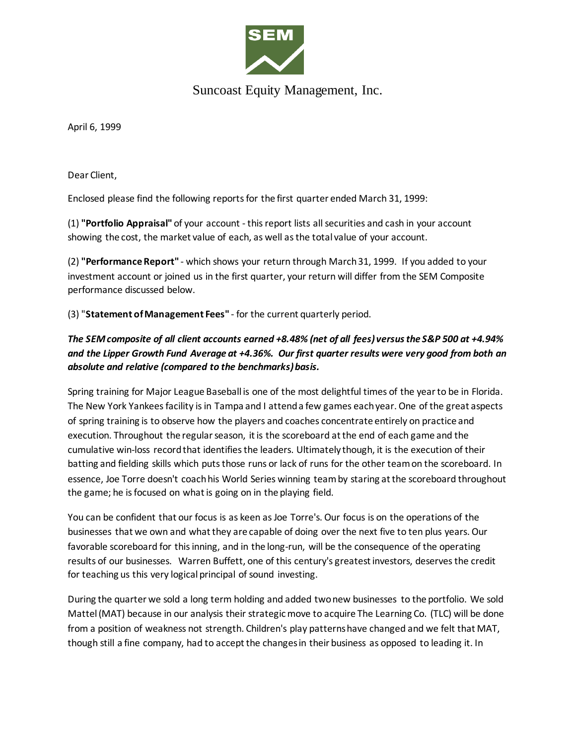

## Suncoast Equity Management, Inc.

April 6, 1999

Dear Client,

Enclosed please find the following reports for the first quarter ended March 31, 1999:

(1) **"Portfolio Appraisal"** of your account - this report lists all securities and cash in your account showing the cost, the market value of each, as well as the total value of your account.

(2) **"Performance Report"** - which shows your return through March 31, 1999. If you added to your investment account or joined us in the first quarter, your return will differ from the SEM Composite performance discussed below.

(3) "**Statement of Management Fees"** - for the current quarterly period.

## *The SEM composite of all client accounts earned +8.48% (net of all fees) versus the S&P 500 at +4.94% and the Lipper Growth Fund Average at +4.36%. Our first quarter results were very good from both an absolute and relative (compared to the benchmarks) basis.*

Spring training for Major League Baseball is one of the most delightful times of the year to be in Florida. The New York Yankees facility is in Tampa and I attend a few games each year. One of the great aspects of spring training is to observe how the players and coaches concentrate entirely on practice and execution. Throughout the regular season, it is the scoreboard at the end of each game and the cumulative win-loss record that identifies the leaders. Ultimately though, it is the execution of their batting and fielding skills which puts those runs or lack of runs for the other team on the scoreboard. In essence, Joe Torre doesn't coach his World Series winning team by staring at the scoreboard throughout the game; he is focused on what is going on in the playing field.

You can be confident that our focus is as keen as Joe Torre's. Our focus is on the operations of the businesses that we own and what they are capable of doing over the next five to ten plus years. Our favorable scoreboard for this inning, and in the long-run, will be the consequence of the operating results of our businesses. Warren Buffett, one of this century's greatest investors, deserves the credit for teaching us this very logical principal of sound investing.

During the quarter we sold a long term holding and added two new businesses to the portfolio. We sold Mattel (MAT) because in our analysis their strategic move to acquire The Learning Co. (TLC) will be done from a position of weakness not strength. Children's play patterns have changed and we felt that MAT, though still a fine company, had to accept the changes in their business as opposed to leading it. In